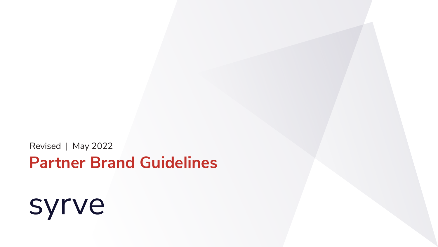# syrve

# **Partner Brand Guidelines**

Revised | May 2022



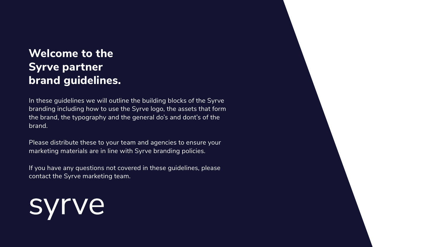# **Welcome to the Syrve partner brand guidelines.**

In these guidelines we will outline the building blocks of the Syrve branding including how to use the Syrve logo, the assets that form the brand, the typography and the general do's and dont's of the brand.

Please distribute these to your team and agencies to ensure your marketing materials are in line with Syrve branding policies.

If you have any questions not covered in these guidelines, please contact the Syrve marketing team.

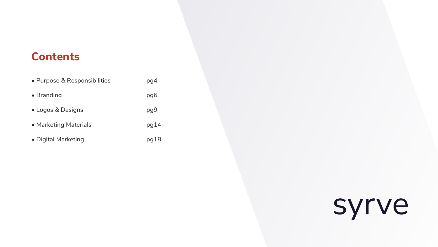# **Contents**

| • Purpose & Responsibilities | pg4  |
|------------------------------|------|
| • Branding                   | pg6  |
| • Logos & Designs            | pg9  |
| • Marketing Materials        | pg14 |
| • Digital Marketing          | 91pg |



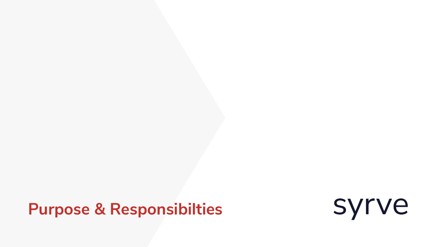# <span id="page-3-0"></span>**Purpose & Responsibilties**



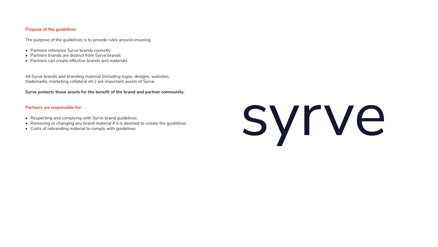#### **Purpose of the guidelines**

The purpose of the guidelines is to provide rules around ensuring:

- Partners reference Syrve brands correctly
- Partners brands are distinct from Syrve brands
- Partners can create effective brands and materials

All Syrve brands and branding material (including logos, designs, websites, trademarks, marketing collateral etc.) are important assets of Syrve.

#### **Syrve protects these assets for the benefit of the brand and partner community.**

#### **Partners are responsible for:**

- Respecting and complying with Syrve brand guidelines
- Removing or changing any brand material if it is deemed to violate the guidelines
- Costs of rebranding material to comply with guidelines

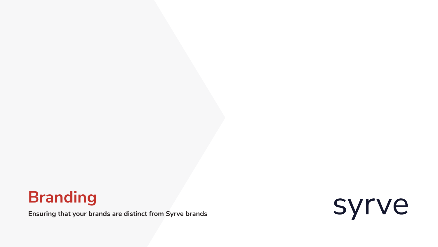**Ensuring that your brands are distinct from Syrve brands**



# **Branding**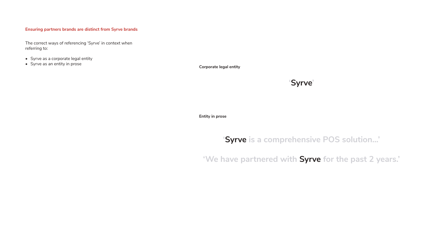**Corporate legal entity**

**Entity in prose**

#### **Ensuring partners brands are distinct from Syrve brands**

The correct ways of referencing 'Syrve' in context when referring to:

- Syrve as a corporate legal entity
- Syrve as an entity in prose

## **'Syrve is a comprehensive POS solution...'**

### **'We have partnered with Syrve for the past 2 years.'**

### **'Syrve'**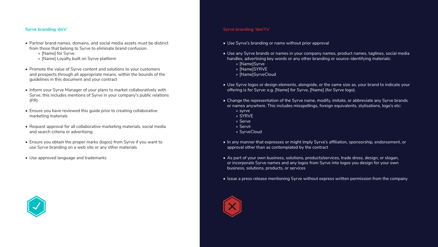#### **Syrve branding 'do's'**

- Partner brand names, domains, and social media assets must be distinct from those that belong to Syrve to eliminate brand confusion.
	- » [Name] for Syrve
	- » [Name] Loyalty built on Syrve platform
- Promote the value of Syrve content and solutions to your customers and prospects through all appropriate means, within the bounds of the guidelines in this document and your contract
- Inform your Syrve Manager of your plans to market collaboratively with Syrve, this includes mentions of Syrve in your company's public relations (PR)
- Ensure you have reviewed this guide prior to creating collaborative marketing materials
- Request approval for all collaborative marketing materials, social media and search criteria or advertising
- Ensure you obtain the proper marks (logos) from Syrve if you want to use Syrve branding on a web site or any other materials
- Use approved language and trademarks



#### **Syrve branding 'don't's'**

- Use Syrve's branding or name without prior approval
- Use any Syrve brands or names in your company names, product names, taglines, social media handles, advertising key words or any other branding or source-identifying materials:
	- » [Name]Syrve
	- » [Name]SYRVE
	- » [Name]SyrveCloud
- Use Syrve logos or design elements, alongside, or the same size as, your brand to indicate your offering is for Syrve: e.g. [Name] for Syrve, [Name] (for Syrve logo).
- Change the representation of the Syrve name, modify, imitate, or abbreviate any Syrve brands or names anywhere. This includes misspellings, foreign equivalents, stylisations, logo's etc:
	- » syrve
	- » SYRVE
	- » Serve
	- » Servir
	- » SyrveCloud
- In any manner that expresses or might imply Syrve's affiliation, sponsorship, endorsement, or approval other than as contemplated by the contract
- As part of your own business, solutions, products/services, trade dress, design, or slogan, or incorporate Syrve names and any logos from Syrve into logos you design for your own business, solutions, products, or services
- Issue a press release mentioning Syrve without express written permission from the company

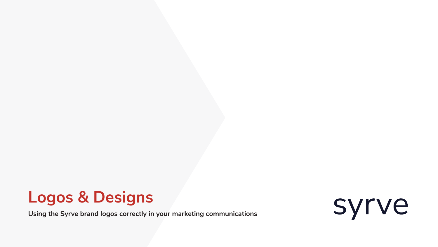**Using the Syrve brand logos correctly in your marketing communications**



# **Logos & Designs**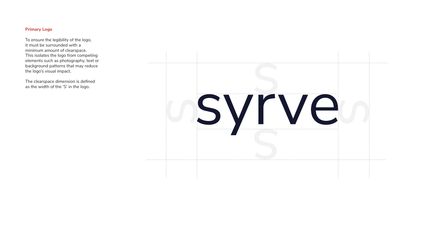#### **Primary Logo**

To ensure the legibility of the logo, it must be surrounded with a minimum amount of clearspace. This isolates the logo from competing elements such as photography, text or background patterns that may reduce the logo's visual impact.

The clearspace dimension is defined as the width of the 'S' in the logo.

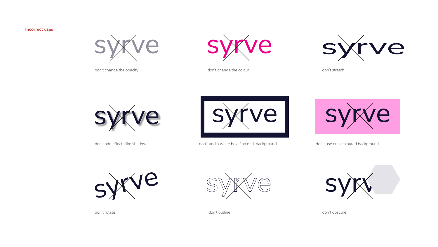don't change the opacity



don't add effects like shadows





don't change the colour don't stretch





don't add a white box if on dark background don't use on a coloured background







don't rotate don't outline don't obscure

#### **Incorrect uses**

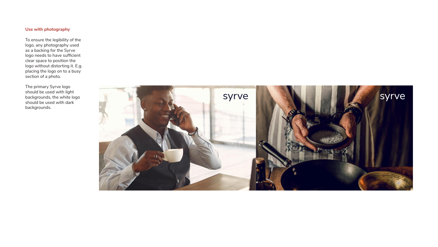#### **Use with photography**

To ensure the legibility of the logo, any photography used as a backing for the Syrve logo needs to have sufficient clear space to position the logo without distorting it. E.g. placing the logo on to a busy section of a photo.

The primary Syrve logo should be used with light backgrounds, the white logo should be used with dark backgrounds.



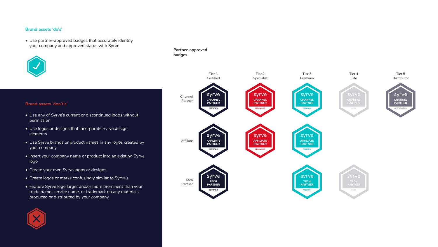#### **Brand assets 'do's'**



• Use partner-approved badges that accurately identify your company and approved status with Syrve



#### **Brand assets 'don't's'**

- Use any of Syrve's current or discontinued logos without permission
- Use logos or designs that incorporate Syrve design elements
- Use Syrve brands or product names in any logos created by your company
- Insert your company name or product into an existing Syrve logo
- Create your own Syrve logos or designs
- Create logos or marks confusingly similar to Syrve's
- Feature Syrve logo larger and/or more prominent than your trade name, service name, or trademark on any materials produced or distributed by your company



Affiliate

Tech Partner





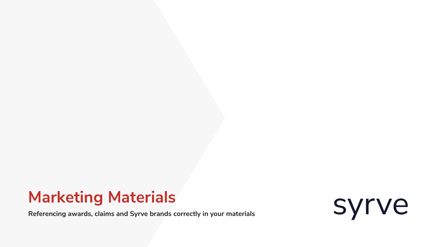**Referencing awards, claims and Syrve brands correctly in your materials**



# **Marketing Materials**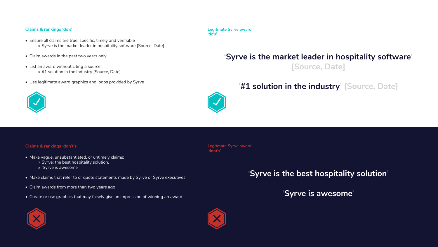#### **Claims & rankings 'do's'**

- Ensure all claims are true, specific, timely and verifiable » Syrve is the market leader in hospitality software [Source, Date]
- Claim awards in the past two years only
- List an award without citing a source » #1 solution in the industry [Source, Date]
- Use legitimate award graphics and logos provided by Syrve



#### **Claims & rankings 'don't's'**

- Make vague, unsubstantiated, or untimely claims:
	- » Syrve: the best hospitality solution.
	- » 'Syrve is awesome'
- Make claims that refer to or quote statements made by Syrve or Syrve executives
- Claim awards from more than two years ago
- Create or use graphics that may falsely give an impression of winning an award



**Legitmate Syrve award 'do's'**

**Legitmate Syrve award 'dont's'**

## **'Syrve is the market leader in hospitality software' [Source, Date]**

### **'#1 solution in the industry' [Source, Date]**



**'Syrve is the best hospitality solution'**

**'Syrve is awesome'**

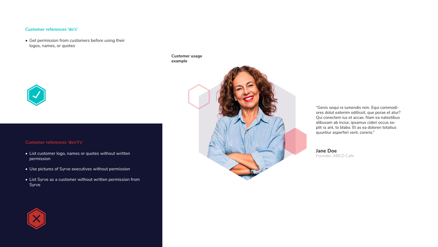#### **Customer references 'do's'**

• Get permission from customers before using their logos, names, or quotes

#### **Customer references 'don't's'**

- List customer logo, names or quotes without written permission
- Use pictures of Syrve executives without permission
- List Syrve as a customer without written permission from Syrve





**Customer usage example**



**Jane Doe** Founder, ABCD Cafe

"Genis sequi re iumendis rem. Equi commodiores dolut eatenim oditissit, que porae et atur? Qui conectem ius et accae. Nam ea natestibus alibusam ab inciur, ipsamus cideri occus explit ra ant, to blabo. Et as ea doloren totatius quuntiur asperferi vent, corerio."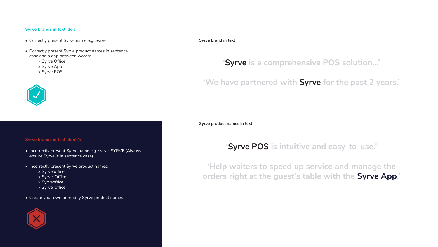#### **Syrve brands in text 'do's'**

- Correctly present Syrve name e.g. Syrve
- Correctly present Syrve product names in sentence case and a gap between words:
	- » Syrve Office
	- » Syrve App
	- » Syrve POS



#### **Syrve brands in text 'don't's'**

- Incorrectly present Syrve name e.g. syrve, SYRVE (Always ensure Syrve is in sentence case)
- Incorrectly present Syrve product names:
	- » Syrve office
	- » Syrve-Office
	- » Syrveoffice
	- » Syrve\_office
- Create your own or modify Syrve product names



**Syrve brand in text**

**Syrve product names in text**

### **'Syrve POS is intuitive and easy-to-use.'**

**'Help waiters to speed up service and manage the orders right at the guest's table with the Syrve App.'**

### **'Syrve is a comprehensive POS solution...'**

**'We have partnered with Syrve for the past 2 years.'**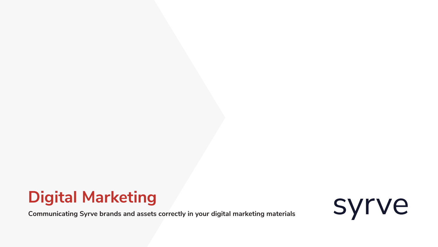**Communicating Syrve brands and assets correctly in your digital marketing materials**



# **Digital Marketing**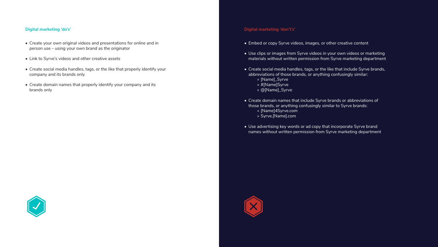#### **Digital marketing 'do's'**

- Create your own original videos and presentations for online and in person use – using your own brand as the originator
- Link to Syrve's videos and other creative assets
- Create social media handles, tags, or the like that properly identify your company and its brands only
- Create domain names that properly identify your company and its brands only



#### **Digital marketing 'don't's'**

- Embed or copy Syrve videos, images, or other creative content
- Use clips or images from Syrve videos in your own videos or marketing materials without written permission from Syrve marketing department
- Create social media handles, tags, or the like that include Syrve brands, abbreviations of those brands, or anything confusingly similar:
	- » [Name]\_Syrve
	- » #[Name]Syrve
	- » @[Name]\_Syrve
- Create domain names that include Syrve brands or abbreviations of those brands, or anything confusingly similar to Syrve brands:
	- » [Name]4Syrve.com
	- » Syrve.[Name].com
- Use advertising key words or ad copy that incorporate Syrve brand names without written permission from Syrve marketing department